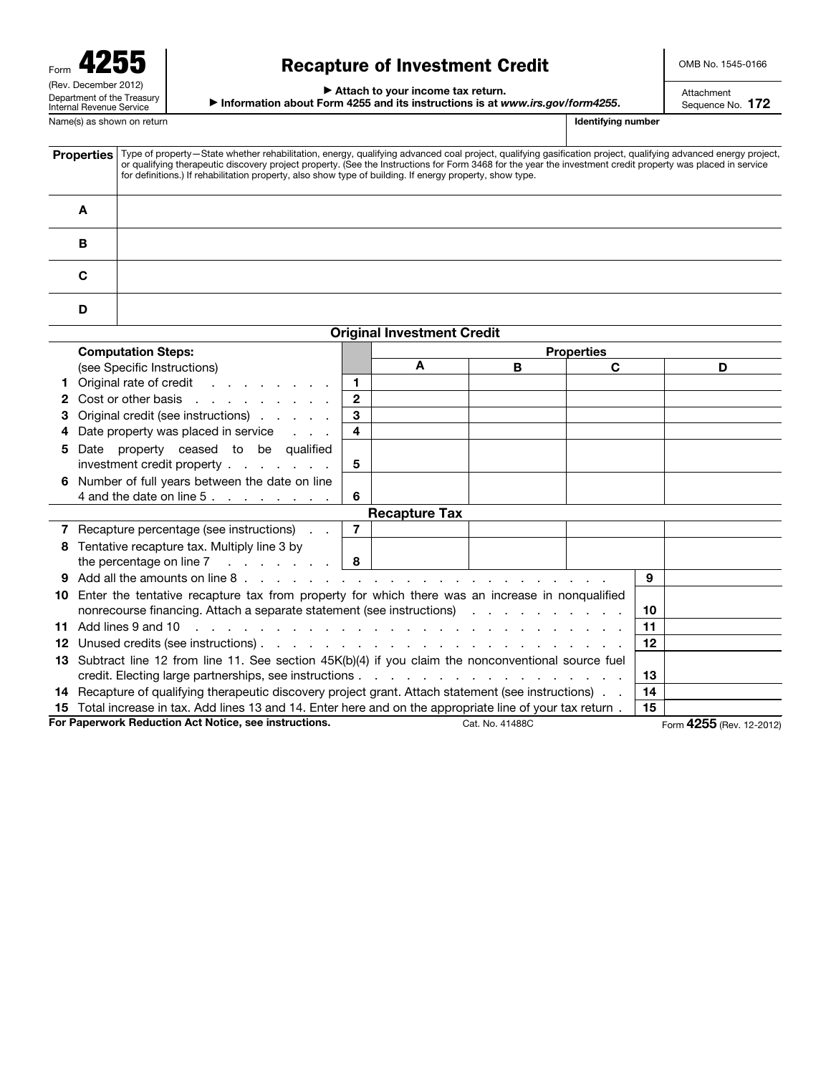| Form                                                          |
|---------------------------------------------------------------|
| (Rev. December 2012)                                          |
| Department of the Treasury<br><b>Internal Revenue Service</b> |
|                                                               |

## Recapture of Investment Credit

OMB No. 1545-0166

Attachment Sequence No. 172

#### ▶ Attach to your income tax return.

▶ Information about Form 4255 and its instructions is at *www.irs.gov/form4255*.

Name(s) as shown on return **Identifying number Identifying number Identifying number** 

Properties | Type of property—State whether rehabilitation, energy, qualifying advanced coal project, qualifying gasification project, qualifying advanced energy project, or qualifying therapeutic discovery project propert for definitions.) If rehabilitation property, also show type of building. If energy property, show type. A B C D

| <b>Original Investment Credit</b>                                        |                                                                                                               |                |                   |   |    |    |                          |  |
|--------------------------------------------------------------------------|---------------------------------------------------------------------------------------------------------------|----------------|-------------------|---|----|----|--------------------------|--|
|                                                                          | <b>Computation Steps:</b>                                                                                     |                | <b>Properties</b> |   |    |    |                          |  |
|                                                                          | (see Specific Instructions)                                                                                   |                | A                 | в | C. |    | D                        |  |
|                                                                          | Original rate of credit                                                                                       | $\mathbf{1}$   |                   |   |    |    |                          |  |
| 2                                                                        | Cost or other basis                                                                                           | $\overline{2}$ |                   |   |    |    |                          |  |
| 3                                                                        | Original credit (see instructions)                                                                            | 3              |                   |   |    |    |                          |  |
|                                                                          | Date property was placed in service                                                                           | 4              |                   |   |    |    |                          |  |
| 5                                                                        | Date property ceased to be qualified                                                                          |                |                   |   |    |    |                          |  |
|                                                                          | investment credit property                                                                                    | 5              |                   |   |    |    |                          |  |
| 6                                                                        | Number of full years between the date on line                                                                 |                |                   |   |    |    |                          |  |
|                                                                          | 4 and the date on line 5. $\ldots$                                                                            | 6              |                   |   |    |    |                          |  |
| <b>Recapture Tax</b>                                                     |                                                                                                               |                |                   |   |    |    |                          |  |
|                                                                          | 7 Recapture percentage (see instructions)                                                                     | $\overline{7}$ |                   |   |    |    |                          |  |
| 8                                                                        | Tentative recapture tax. Multiply line 3 by                                                                   |                |                   |   |    |    |                          |  |
|                                                                          | the percentage on line 7 $\ldots$ $\ldots$ $\mid$ 8                                                           |                |                   |   |    |    |                          |  |
|                                                                          |                                                                                                               |                |                   |   |    | 9  |                          |  |
| 10.                                                                      | Enter the tentative recapture tax from property for which there was an increase in nonqualified               |                |                   |   |    |    |                          |  |
|                                                                          | nonrecourse financing. Attach a separate statement (see instructions) exclude the contract of the contract of |                |                   |   |    |    |                          |  |
| 11                                                                       |                                                                                                               |                |                   |   |    |    |                          |  |
| 12                                                                       |                                                                                                               |                |                   |   |    |    |                          |  |
|                                                                          | 13 Subtract line 12 from line 11. See section 45K(b)(4) if you claim the nonconventional source fuel          |                |                   |   |    |    |                          |  |
|                                                                          |                                                                                                               |                |                   |   |    |    |                          |  |
|                                                                          | 14 Recapture of qualifying therapeutic discovery project grant. Attach statement (see instructions)           |                |                   |   |    |    |                          |  |
|                                                                          | 15 Total increase in tax. Add lines 13 and 14. Enter here and on the appropriate line of your tax return.     |                |                   |   |    | 15 |                          |  |
| For Paperwork Reduction Act Notice, see instructions.<br>Cat. No. 41488C |                                                                                                               |                |                   |   |    |    | Form 4255 (Rev. 12-2012) |  |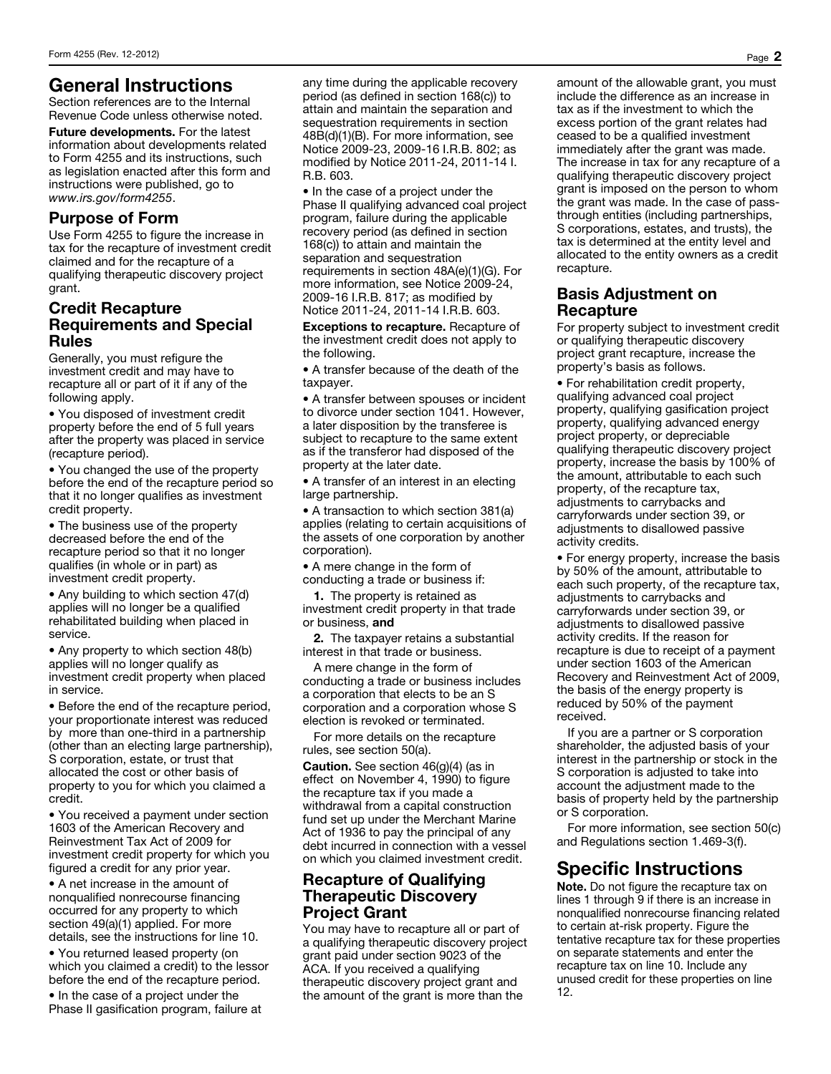### General Instructions

Section references are to the Internal Revenue Code unless otherwise noted.

Future developments. For the latest information about developments related to Form 4255 and its instructions, such as legislation enacted after this form and instructions were published, go to *www.irs.gov/form4255*.

#### Purpose of Form

Use Form 4255 to figure the increase in tax for the recapture of investment credit claimed and for the recapture of a qualifying therapeutic discovery project grant.

### Credit Recapture Requirements and Special Rules

Generally, you must refigure the investment credit and may have to recapture all or part of it if any of the following apply.

• You disposed of investment credit property before the end of 5 full years after the property was placed in service (recapture period).

• You changed the use of the property before the end of the recapture period so that it no longer qualifies as investment credit property.

• The business use of the property decreased before the end of the recapture period so that it no longer qualifies (in whole or in part) as investment credit property.

• Any building to which section 47(d) applies will no longer be a qualified rehabilitated building when placed in service.

• Any property to which section 48(b) applies will no longer qualify as investment credit property when placed in service.

• Before the end of the recapture period, your proportionate interest was reduced by more than one-third in a partnership (other than an electing large partnership), S corporation, estate, or trust that allocated the cost or other basis of property to you for which you claimed a credit.

• You received a payment under section 1603 of the American Recovery and Reinvestment Tax Act of 2009 for investment credit property for which you figured a credit for any prior year.

• A net increase in the amount of nonqualified nonrecourse financing occurred for any property to which section 49(a)(1) applied. For more details, see the instructions for line 10.

• You returned leased property (on which you claimed a credit) to the lessor before the end of the recapture period.

• In the case of a project under the Phase II gasification program, failure at any time during the applicable recovery period (as defined in section 168(c)) to attain and maintain the separation and sequestration requirements in section 48B(d)(1)(B). For more information, see Notice 2009-23, 2009-16 I.R.B. 802; as modified by Notice 2011-24, 2011-14 I. R.B. 603.

• In the case of a project under the Phase II qualifying advanced coal project program, failure during the applicable recovery period (as defined in section 168(c)) to attain and maintain the separation and sequestration requirements in section 48A(e)(1)(G). For more information, see Notice 2009-24, 2009-16 I.R.B. 817; as modified by Notice 2011-24, 2011-14 I.R.B. 603.

Exceptions to recapture. Recapture of the investment credit does not apply to the following.

• A transfer because of the death of the taxpayer.

• A transfer between spouses or incident to divorce under section 1041. However, a later disposition by the transferee is subject to recapture to the same extent as if the transferor had disposed of the property at the later date.

• A transfer of an interest in an electing large partnership.

• A transaction to which section 381(a) applies (relating to certain acquisitions of the assets of one corporation by another corporation).

• A mere change in the form of conducting a trade or business if:

1. The property is retained as investment credit property in that trade or business, and

2. The taxpayer retains a substantial interest in that trade or business.

A mere change in the form of conducting a trade or business includes a corporation that elects to be an S corporation and a corporation whose S election is revoked or terminated.

For more details on the recapture rules, see section 50(a).

Caution. See section 46(g)(4) (as in effect on November 4, 1990) to figure the recapture tax if you made a withdrawal from a capital construction fund set up under the Merchant Marine Act of 1936 to pay the principal of any debt incurred in connection with a vessel on which you claimed investment credit.

#### Recapture of Qualifying Therapeutic Discovery Project Grant

You may have to recapture all or part of a qualifying therapeutic discovery project grant paid under section 9023 of the ACA. If you received a qualifying therapeutic discovery project grant and the amount of the grant is more than the

amount of the allowable grant, you must include the difference as an increase in tax as if the investment to which the excess portion of the grant relates had ceased to be a qualified investment immediately after the grant was made. The increase in tax for any recapture of a qualifying therapeutic discovery project grant is imposed on the person to whom the grant was made. In the case of passthrough entities (including partnerships, S corporations, estates, and trusts), the tax is determined at the entity level and allocated to the entity owners as a credit recapture.

#### Basis Adjustment on **Recapture**

For property subject to investment credit or qualifying therapeutic discovery project grant recapture, increase the property's basis as follows.

• For rehabilitation credit property, qualifying advanced coal project property, qualifying gasification project property, qualifying advanced energy project property, or depreciable qualifying therapeutic discovery project property, increase the basis by 100% of the amount, attributable to each such property, of the recapture tax, adjustments to carrybacks and carryforwards under section 39, or adjustments to disallowed passive activity credits.

• For energy property, increase the basis by 50% of the amount, attributable to each such property, of the recapture tax, adjustments to carrybacks and carryforwards under section 39, or adjustments to disallowed passive activity credits. If the reason for recapture is due to receipt of a payment under section 1603 of the American Recovery and Reinvestment Act of 2009, the basis of the energy property is reduced by 50% of the payment received.

If you are a partner or S corporation shareholder, the adjusted basis of your interest in the partnership or stock in the S corporation is adjusted to take into account the adjustment made to the basis of property held by the partnership or S corporation.

For more information, see section 50(c) and Regulations section 1.469-3(f).

# Specific Instructions

Note. Do not figure the recapture tax on lines 1 through 9 if there is an increase in nonqualified nonrecourse financing related to certain at-risk property. Figure the tentative recapture tax for these properties on separate statements and enter the recapture tax on line 10. Include any unused credit for these properties on line 12.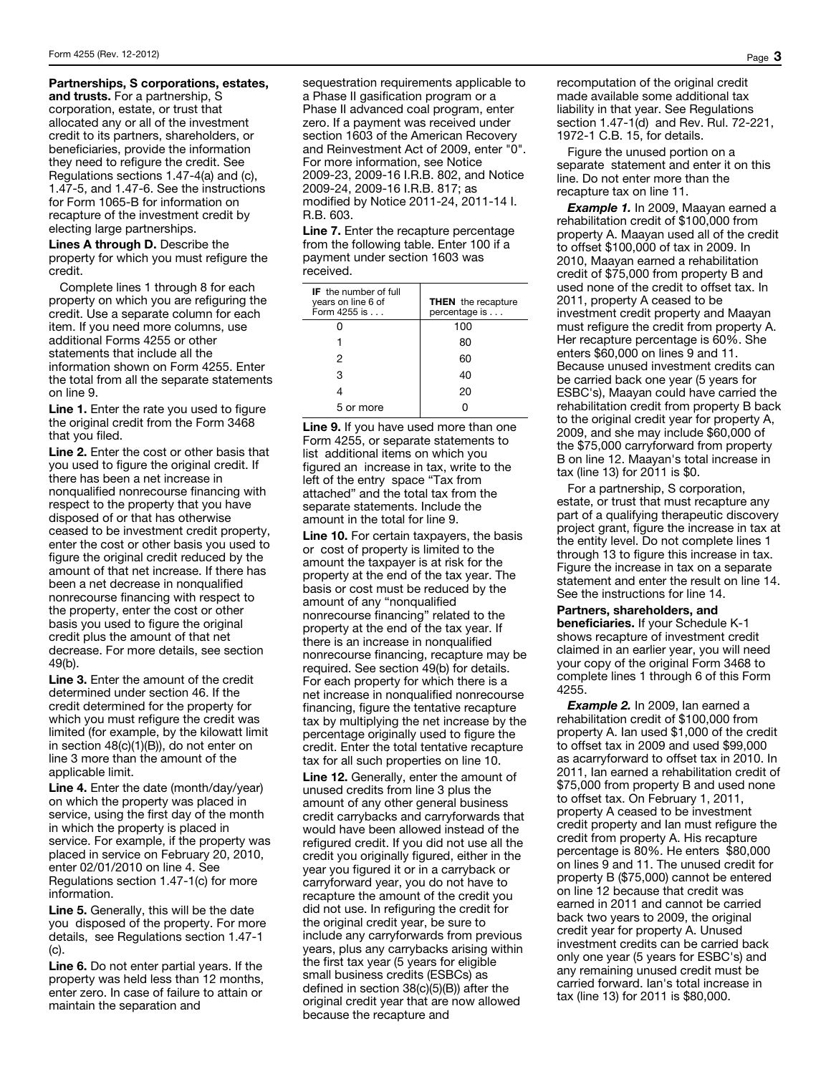Partnerships, S corporations, estates,

and trusts. For a partnership, S corporation, estate, or trust that allocated any or all of the investment credit to its partners, shareholders, or beneficiaries, provide the information they need to refigure the credit. See Regulations sections 1.47-4(a) and (c), 1.47-5, and 1.47-6. See the instructions for Form 1065-B for information on recapture of the investment credit by electing large partnerships.

Lines A through D. Describe the property for which you must refigure the credit.

Complete lines 1 through 8 for each property on which you are refiguring the credit. Use a separate column for each item. If you need more columns, use additional Forms 4255 or other statements that include all the information shown on Form 4255. Enter the total from all the separate statements on line 9.

Line 1. Enter the rate you used to figure the original credit from the Form 3468 that you filed.

Line 2. Enter the cost or other basis that you used to figure the original credit. If there has been a net increase in nonqualified nonrecourse financing with respect to the property that you have disposed of or that has otherwise ceased to be investment credit property, enter the cost or other basis you used to figure the original credit reduced by the amount of that net increase. If there has been a net decrease in nonqualified nonrecourse financing with respect to the property, enter the cost or other basis you used to figure the original credit plus the amount of that net decrease. For more details, see section 49(b).

Line 3. Enter the amount of the credit determined under section 46. If the credit determined for the property for which you must refigure the credit was limited (for example, by the kilowatt limit in section 48(c)(1)(B)), do not enter on line 3 more than the amount of the applicable limit.

Line 4. Enter the date (month/day/year) on which the property was placed in service, using the first day of the month in which the property is placed in service. For example, if the property was placed in service on February 20, 2010, enter 02/01/2010 on line 4. See Regulations section 1.47-1(c) for more information.

Line 5. Generally, this will be the date you disposed of the property. For more details, see Regulations section 1.47-1 (c).

Line 6. Do not enter partial years. If the property was held less than 12 months, enter zero. In case of failure to attain or maintain the separation and

sequestration requirements applicable to a Phase II gasification program or a Phase II advanced coal program, enter zero. If a payment was received under section 1603 of the American Recovery and Reinvestment Act of 2009, enter "0". For more information, see Notice 2009-23, 2009-16 I.R.B. 802, and Notice 2009-24, 2009-16 I.R.B. 817; as modified by Notice 2011-24, 2011-14 I. R.B. 603.

Line 7. Enter the recapture percentage from the following table. Enter 100 if a payment under section 1603 was received.

| <b>IF</b> the number of full<br>years on line 6 of<br>Form 4255 is | <b>THEN</b> the recapture<br>percentage is |
|--------------------------------------------------------------------|--------------------------------------------|
|                                                                    | 100                                        |
|                                                                    | 80                                         |
| 2                                                                  | 60                                         |
| 3                                                                  | 40                                         |
|                                                                    | 20                                         |
| 5 or more                                                          |                                            |

Line 9. If you have used more than one Form 4255, or separate statements to list additional items on which you figured an increase in tax, write to the left of the entry space "Tax from attached" and the total tax from the separate statements. Include the amount in the total for line 9.

Line 10. For certain taxpayers, the basis or cost of property is limited to the amount the taxpayer is at risk for the property at the end of the tax year. The basis or cost must be reduced by the amount of any "nonqualified nonrecourse financing" related to the property at the end of the tax year. If there is an increase in nonqualified nonrecourse financing, recapture may be required. See section 49(b) for details. For each property for which there is a net increase in nonqualified nonrecourse financing, figure the tentative recapture tax by multiplying the net increase by the percentage originally used to figure the credit. Enter the total tentative recapture tax for all such properties on line 10.

Line 12. Generally, enter the amount of unused credits from line 3 plus the amount of any other general business credit carrybacks and carryforwards that would have been allowed instead of the refigured credit. If you did not use all the credit you originally figured, either in the year you figured it or in a carryback or carryforward year, you do not have to recapture the amount of the credit you did not use. In refiguring the credit for the original credit year, be sure to include any carryforwards from previous years, plus any carrybacks arising within the first tax year (5 years for eligible small business credits (ESBCs) as defined in section 38(c)(5)(B)) after the original credit year that are now allowed because the recapture and

recomputation of the original credit made available some additional tax liability in that year. See Regulations section 1.47-1(d) and Rev. Rul. 72-221, 1972-1 C.B. 15, for details.

Figure the unused portion on a separate statement and enter it on this line. Do not enter more than the recapture tax on line 11.

*Example 1.* In 2009, Maayan earned a rehabilitation credit of \$100,000 from property A. Maayan used all of the credit to offset \$100,000 of tax in 2009. In 2010, Maayan earned a rehabilitation credit of \$75,000 from property B and used none of the credit to offset tax. In 2011, property A ceased to be investment credit property and Maayan must refigure the credit from property A. Her recapture percentage is 60%. She enters \$60,000 on lines 9 and 11. Because unused investment credits can be carried back one year (5 years for ESBC's), Maayan could have carried the rehabilitation credit from property B back to the original credit year for property A, 2009, and she may include \$60,000 of the \$75,000 carryforward from property B on line 12. Maayan's total increase in tax (line 13) for 2011 is \$0.

For a partnership, S corporation, estate, or trust that must recapture any part of a qualifying therapeutic discovery project grant, figure the increase in tax at the entity level. Do not complete lines 1 through 13 to figure this increase in tax. Figure the increase in tax on a separate statement and enter the result on line 14. See the instructions for line 14.

#### Partners, shareholders, and

beneficiaries. If your Schedule K-1 shows recapture of investment credit claimed in an earlier year, you will need your copy of the original Form 3468 to complete lines 1 through 6 of this Form 4255.

*Example 2.* In 2009, Ian earned a rehabilitation credit of \$100,000 from property A. Ian used \$1,000 of the credit to offset tax in 2009 and used \$99,000 as acarryforward to offset tax in 2010. In 2011, Ian earned a rehabilitation credit of \$75,000 from property B and used none to offset tax. On February 1, 2011, property A ceased to be investment credit property and Ian must refigure the credit from property A. His recapture percentage is 80%. He enters \$80,000 on lines 9 and 11. The unused credit for property B (\$75,000) cannot be entered on line 12 because that credit was earned in 2011 and cannot be carried back two years to 2009, the original credit year for property A. Unused investment credits can be carried back only one year (5 years for ESBC's) and any remaining unused credit must be carried forward. Ian's total increase in tax (line 13) for 2011 is \$80,000.